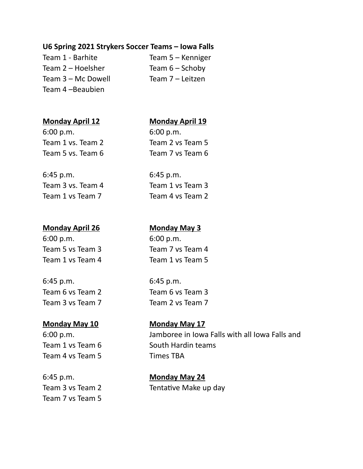### **U6 Spring 2021 Strykers Soccer Teams – Iowa Falls**

Team  $2$  – Hoelsher Team  $6$  – Schoby Team 3 – Mc Dowell Team 7 – Leitzen Team 4 –Beaubien

Team 1 - Barhite Team 5 – Kenniger

### **Monday April 12 Monday April 19**

6:00 p.m. 6:00 p.m. Team 1 vs. Team 2 Team 2 vs Team 5 Team 5 vs. Team 6 Team 7 vs Team 6

6:45 p.m. 6:45 p.m. Team 3 vs. Team 4 Team 1 vs Team 3 Team 1 vs Team 7 Team 4 vs Team 2

# **Monday April 26 Monday May 3**

6:00 p.m. 6:00 p.m.

6:45 p.m. 6:45 p.m. Team 6 vs Team 2 Team 6 vs Team 3 Team 3 vs Team 7 Team 2 vs Team 7

# **Monday May 10 Monday May 17**

Team 4 vs Team 5 Times TBA

6:45 p.m. **Monday May 24** Team 7 vs Team 5

Team 5 vs Team 3 Team 7 vs Team 4 Team 1 vs Team 4 Team 1 vs Team 5

6:00 p.m. Jamboree in Iowa Falls with all Iowa Falls and Team 1 vs Team 6 South Hardin teams

Team 3 vs Team 2 Tentative Make up day